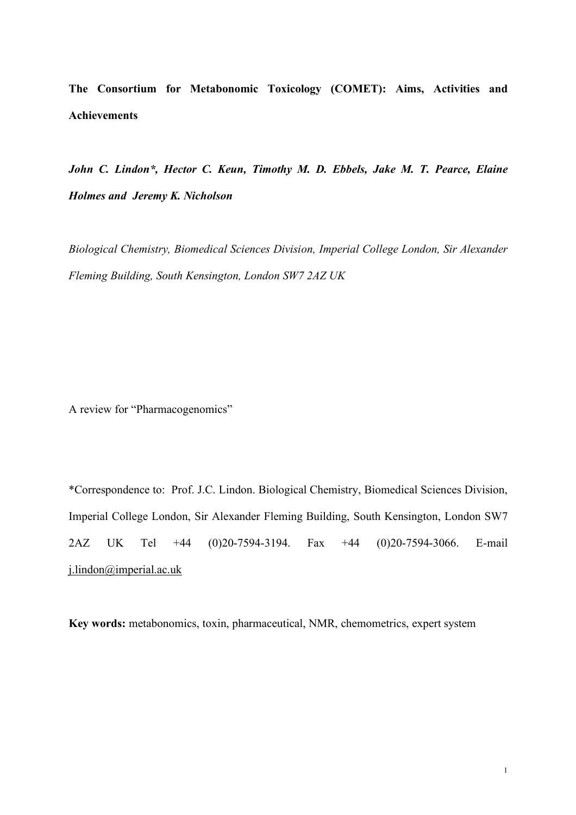**The Consortium for Metabonomic Toxicology (COMET): Aims, Activities and Achievements**

*John C. Lindon\*, Hector C. Keun, Timothy M. D. Ebbels, Jake M. T. Pearce, Elaine Holmes and Jeremy K. Nicholson*

*Biological Chemistry, Biomedical Sciences Division, Imperial College London, Sir Alexander Fleming Building, South Kensington, London SW7 2AZ UK*

A review for "Pharmacogenomics"

\*Correspondence to: Prof. J.C. Lindon. Biological Chemistry, Biomedical Sciences Division, Imperial College London, Sir Alexander Fleming Building, South Kensington, London SW7 2AZ UK Tel +44 (0)20-7594-3194. Fax +44 (0)20-7594-3066. E-mail j.lindon@imperial.ac.uk

**Key words:** metabonomics, toxin, pharmaceutical, NMR, chemometrics, expert system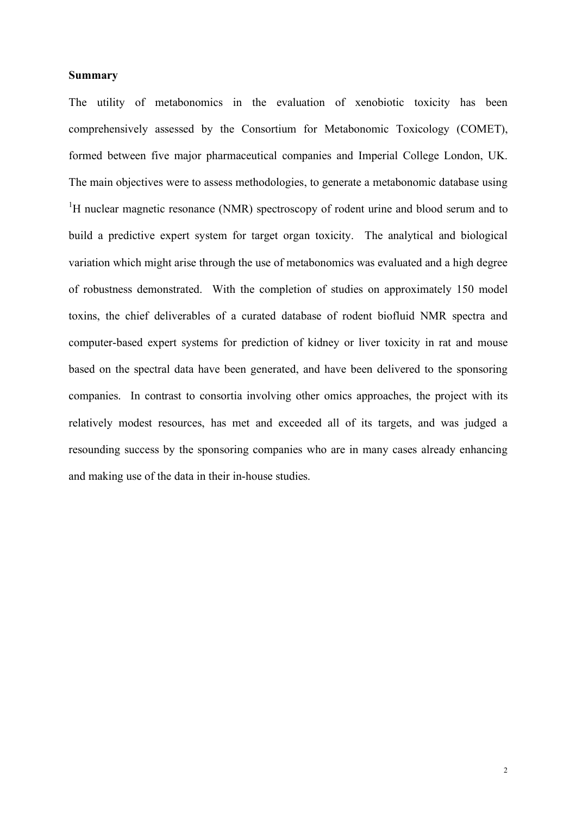#### **Summary**

The utility of metabonomics in the evaluation of xenobiotic toxicity has been comprehensively assessed by the Consortium for Metabonomic Toxicology (COMET), formed between five major pharmaceutical companies and Imperial College London, UK. The main objectives were to assess methodologies, to generate a metabonomic database using  ${}^{1}$ H nuclear magnetic resonance (NMR) spectroscopy of rodent urine and blood serum and to build a predictive expert system for target organ toxicity. The analytical and biological variation which might arise through the use of metabonomics was evaluated and a high degree of robustness demonstrated. With the completion of studies on approximately 150 model toxins, the chief deliverables of a curated database of rodent biofluid NMR spectra and computer-based expert systems for prediction of kidney or liver toxicity in rat and mouse based on the spectral data have been generated, and have been delivered to the sponsoring companies. In contrast to consortia involving other omics approaches, the project with its relatively modest resources, has met and exceeded all of its targets, and was judged a resounding success by the sponsoring companies who are in many cases already enhancing and making use of the data in their in-house studies.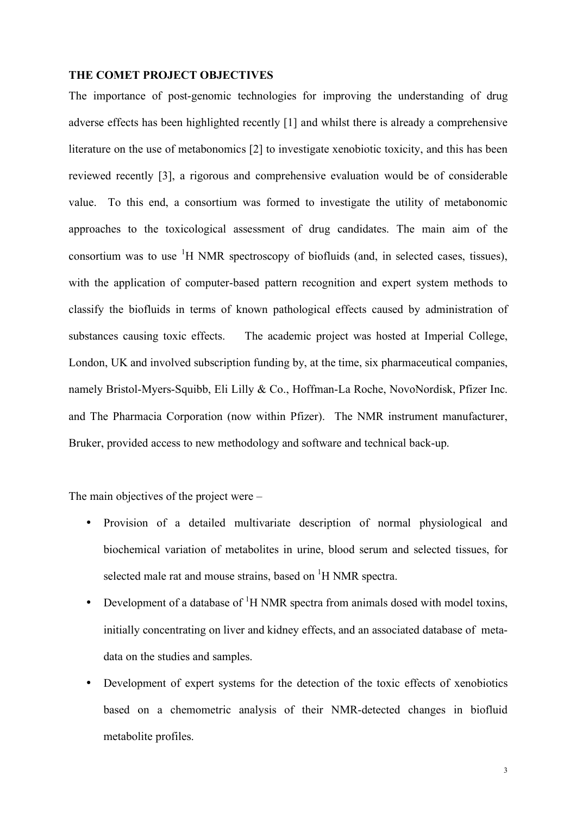## **THE COMET PROJECT OBJECTIVES**

The importance of post-genomic technologies for improving the understanding of drug adverse effects has been highlighted recently [1] and whilst there is already a comprehensive literature on the use of metabonomics [2] to investigate xenobiotic toxicity, and this has been reviewed recently [3], a rigorous and comprehensive evaluation would be of considerable value. To this end, a consortium was formed to investigate the utility of metabonomic approaches to the toxicological assessment of drug candidates. The main aim of the consortium was to use  ${}^{1}H$  NMR spectroscopy of biofluids (and, in selected cases, tissues), with the application of computer-based pattern recognition and expert system methods to classify the biofluids in terms of known pathological effects caused by administration of substances causing toxic effects. The academic project was hosted at Imperial College, London, UK and involved subscription funding by, at the time, six pharmaceutical companies, namely Bristol-Myers-Squibb, Eli Lilly & Co., Hoffman-La Roche, NovoNordisk, Pfizer Inc. and The Pharmacia Corporation (now within Pfizer). The NMR instrument manufacturer, Bruker, provided access to new methodology and software and technical back-up.

The main objectives of the project were –

- Provision of a detailed multivariate description of normal physiological and biochemical variation of metabolites in urine, blood serum and selected tissues, for selected male rat and mouse strains, based on  ${}^{1}H$  NMR spectra.
- Development of a database of  ${}^{1}H$  NMR spectra from animals dosed with model toxins, initially concentrating on liver and kidney effects, and an associated database of metadata on the studies and samples.
- Development of expert systems for the detection of the toxic effects of xenobiotics based on a chemometric analysis of their NMR-detected changes in biofluid metabolite profiles.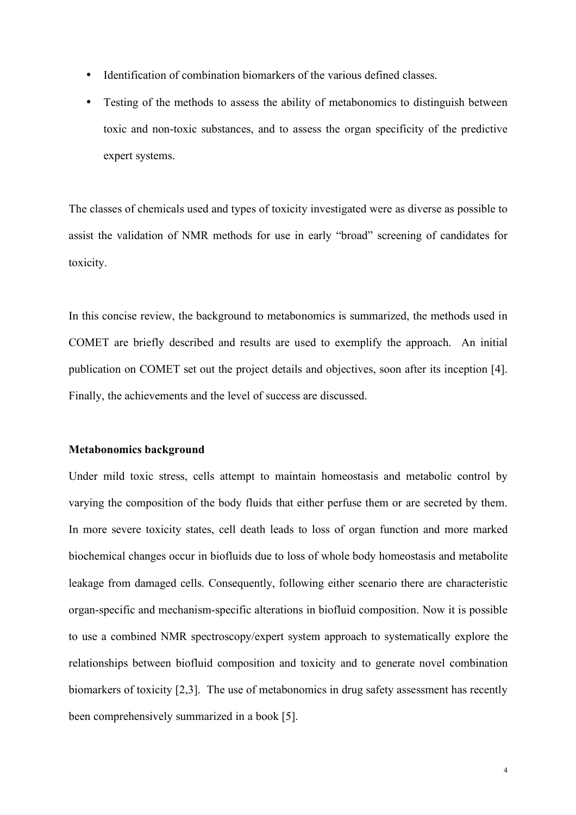- Identification of combination biomarkers of the various defined classes.
- Testing of the methods to assess the ability of metabonomics to distinguish between toxic and non-toxic substances, and to assess the organ specificity of the predictive expert systems.

The classes of chemicals used and types of toxicity investigated were as diverse as possible to assist the validation of NMR methods for use in early "broad" screening of candidates for toxicity.

In this concise review, the background to metabonomics is summarized, the methods used in COMET are briefly described and results are used to exemplify the approach. An initial publication on COMET set out the project details and objectives, soon after its inception [4]. Finally, the achievements and the level of success are discussed.

# **Metabonomics background**

Under mild toxic stress, cells attempt to maintain homeostasis and metabolic control by varying the composition of the body fluids that either perfuse them or are secreted by them. In more severe toxicity states, cell death leads to loss of organ function and more marked biochemical changes occur in biofluids due to loss of whole body homeostasis and metabolite leakage from damaged cells. Consequently, following either scenario there are characteristic organ-specific and mechanism-specific alterations in biofluid composition. Now it is possible to use a combined NMR spectroscopy/expert system approach to systematically explore the relationships between biofluid composition and toxicity and to generate novel combination biomarkers of toxicity [2,3]. The use of metabonomics in drug safety assessment has recently been comprehensively summarized in a book [5].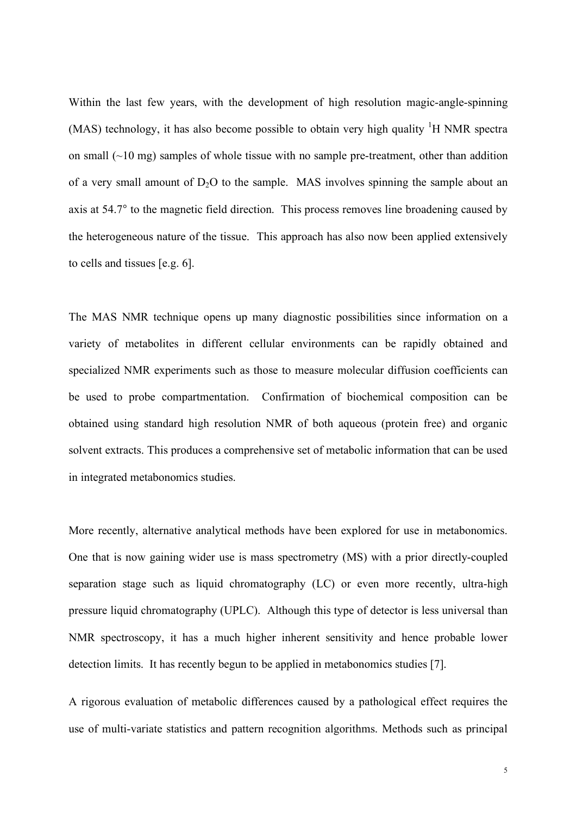Within the last few years, with the development of high resolution magic-angle-spinning (MAS) technology, it has also become possible to obtain very high quality  ${}^{1}H$  NMR spectra on small  $(\sim 10 \text{ mg})$  samples of whole tissue with no sample pre-treatment, other than addition of a very small amount of  $D_2O$  to the sample. MAS involves spinning the sample about an axis at 54.7° to the magnetic field direction. This process removes line broadening caused by the heterogeneous nature of the tissue. This approach has also now been applied extensively to cells and tissues [e.g. 6].

The MAS NMR technique opens up many diagnostic possibilities since information on a variety of metabolites in different cellular environments can be rapidly obtained and specialized NMR experiments such as those to measure molecular diffusion coefficients can be used to probe compartmentation. Confirmation of biochemical composition can be obtained using standard high resolution NMR of both aqueous (protein free) and organic solvent extracts. This produces a comprehensive set of metabolic information that can be used in integrated metabonomics studies.

More recently, alternative analytical methods have been explored for use in metabonomics. One that is now gaining wider use is mass spectrometry (MS) with a prior directly-coupled separation stage such as liquid chromatography (LC) or even more recently, ultra-high pressure liquid chromatography (UPLC). Although this type of detector is less universal than NMR spectroscopy, it has a much higher inherent sensitivity and hence probable lower detection limits. It has recently begun to be applied in metabonomics studies [7].

A rigorous evaluation of metabolic differences caused by a pathological effect requires the use of multi-variate statistics and pattern recognition algorithms. Methods such as principal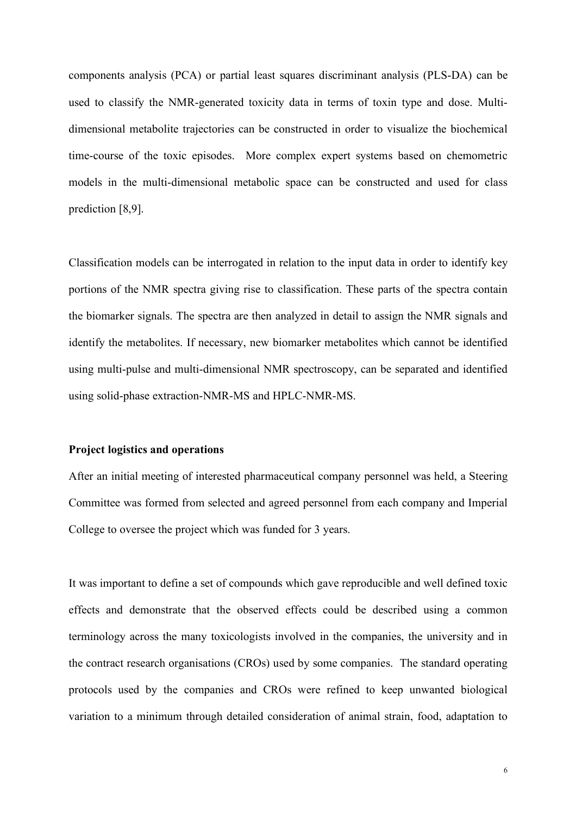components analysis (PCA) or partial least squares discriminant analysis (PLS-DA) can be used to classify the NMR-generated toxicity data in terms of toxin type and dose. Multidimensional metabolite trajectories can be constructed in order to visualize the biochemical time-course of the toxic episodes. More complex expert systems based on chemometric models in the multi-dimensional metabolic space can be constructed and used for class prediction [8,9].

Classification models can be interrogated in relation to the input data in order to identify key portions of the NMR spectra giving rise to classification. These parts of the spectra contain the biomarker signals. The spectra are then analyzed in detail to assign the NMR signals and identify the metabolites. If necessary, new biomarker metabolites which cannot be identified using multi-pulse and multi-dimensional NMR spectroscopy, can be separated and identified using solid-phase extraction-NMR-MS and HPLC-NMR-MS.

# **Project logistics and operations**

After an initial meeting of interested pharmaceutical company personnel was held, a Steering Committee was formed from selected and agreed personnel from each company and Imperial College to oversee the project which was funded for 3 years.

It was important to define a set of compounds which gave reproducible and well defined toxic effects and demonstrate that the observed effects could be described using a common terminology across the many toxicologists involved in the companies, the university and in the contract research organisations (CROs) used by some companies. The standard operating protocols used by the companies and CROs were refined to keep unwanted biological variation to a minimum through detailed consideration of animal strain, food, adaptation to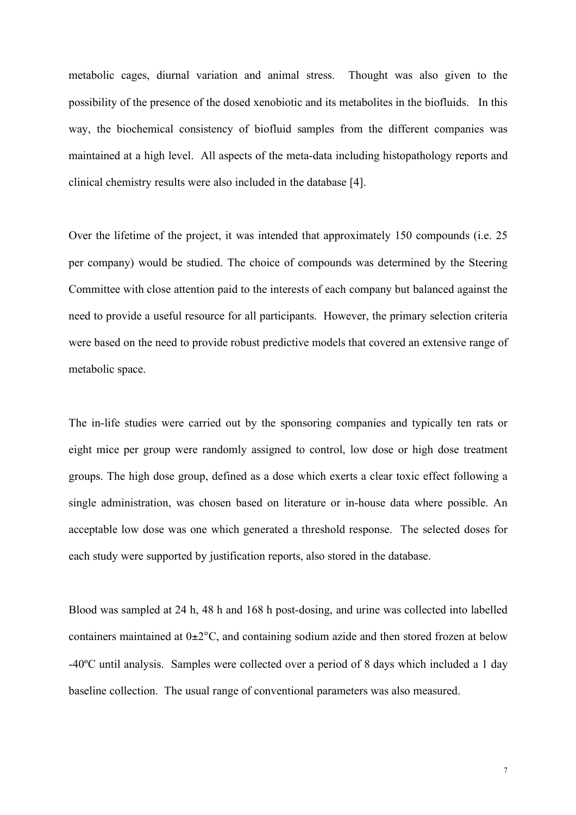metabolic cages, diurnal variation and animal stress. Thought was also given to the possibility of the presence of the dosed xenobiotic and its metabolites in the biofluids. In this way, the biochemical consistency of biofluid samples from the different companies was maintained at a high level. All aspects of the meta-data including histopathology reports and clinical chemistry results were also included in the database [4].

Over the lifetime of the project, it was intended that approximately 150 compounds (i.e. 25 per company) would be studied. The choice of compounds was determined by the Steering Committee with close attention paid to the interests of each company but balanced against the need to provide a useful resource for all participants. However, the primary selection criteria were based on the need to provide robust predictive models that covered an extensive range of metabolic space.

The in-life studies were carried out by the sponsoring companies and typically ten rats or eight mice per group were randomly assigned to control, low dose or high dose treatment groups. The high dose group, defined as a dose which exerts a clear toxic effect following a single administration, was chosen based on literature or in-house data where possible. An acceptable low dose was one which generated a threshold response. The selected doses for each study were supported by justification reports, also stored in the database.

Blood was sampled at 24 h, 48 h and 168 h post-dosing, and urine was collected into labelled containers maintained at  $0\pm 2^{\circ}$ C, and containing sodium azide and then stored frozen at below -40ºC until analysis. Samples were collected over a period of 8 days which included a 1 day baseline collection. The usual range of conventional parameters was also measured.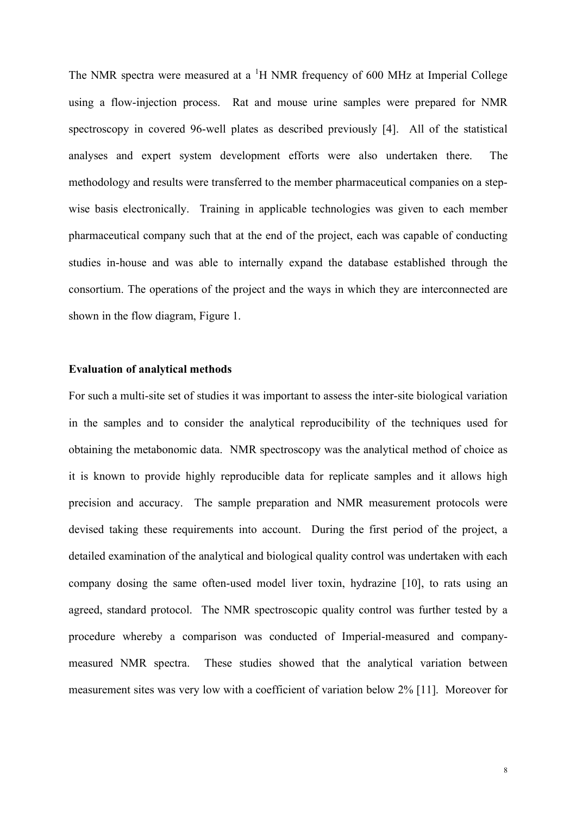The NMR spectra were measured at a <sup>1</sup>H NMR frequency of 600 MHz at Imperial College using a flow-injection process. Rat and mouse urine samples were prepared for NMR spectroscopy in covered 96-well plates as described previously [4]. All of the statistical analyses and expert system development efforts were also undertaken there. The methodology and results were transferred to the member pharmaceutical companies on a stepwise basis electronically. Training in applicable technologies was given to each member pharmaceutical company such that at the end of the project, each was capable of conducting studies in-house and was able to internally expand the database established through the consortium. The operations of the project and the ways in which they are interconnected are shown in the flow diagram, Figure 1.

#### **Evaluation of analytical methods**

For such a multi-site set of studies it was important to assess the inter-site biological variation in the samples and to consider the analytical reproducibility of the techniques used for obtaining the metabonomic data. NMR spectroscopy was the analytical method of choice as it is known to provide highly reproducible data for replicate samples and it allows high precision and accuracy. The sample preparation and NMR measurement protocols were devised taking these requirements into account. During the first period of the project, a detailed examination of the analytical and biological quality control was undertaken with each company dosing the same often-used model liver toxin, hydrazine [10], to rats using an agreed, standard protocol. The NMR spectroscopic quality control was further tested by a procedure whereby a comparison was conducted of Imperial-measured and companymeasured NMR spectra. These studies showed that the analytical variation between measurement sites was very low with a coefficient of variation below 2% [11]. Moreover for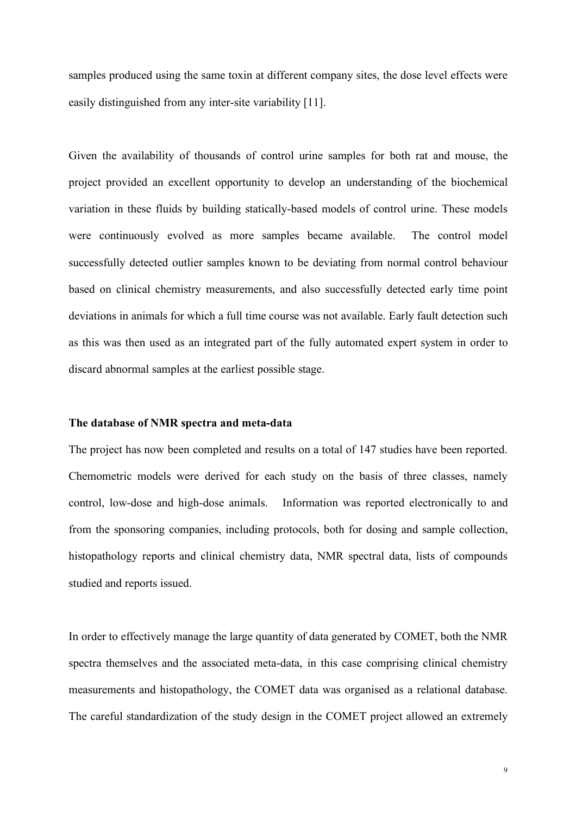samples produced using the same toxin at different company sites, the dose level effects were easily distinguished from any inter-site variability [11].

Given the availability of thousands of control urine samples for both rat and mouse, the project provided an excellent opportunity to develop an understanding of the biochemical variation in these fluids by building statically-based models of control urine. These models were continuously evolved as more samples became available. The control model successfully detected outlier samples known to be deviating from normal control behaviour based on clinical chemistry measurements, and also successfully detected early time point deviations in animals for which a full time course was not available. Early fault detection such as this was then used as an integrated part of the fully automated expert system in order to discard abnormal samples at the earliest possible stage.

# **The database of NMR spectra and meta-data**

The project has now been completed and results on a total of 147 studies have been reported. Chemometric models were derived for each study on the basis of three classes, namely control, low-dose and high-dose animals. Information was reported electronically to and from the sponsoring companies, including protocols, both for dosing and sample collection, histopathology reports and clinical chemistry data, NMR spectral data, lists of compounds studied and reports issued.

In order to effectively manage the large quantity of data generated by COMET, both the NMR spectra themselves and the associated meta-data, in this case comprising clinical chemistry measurements and histopathology, the COMET data was organised as a relational database. The careful standardization of the study design in the COMET project allowed an extremely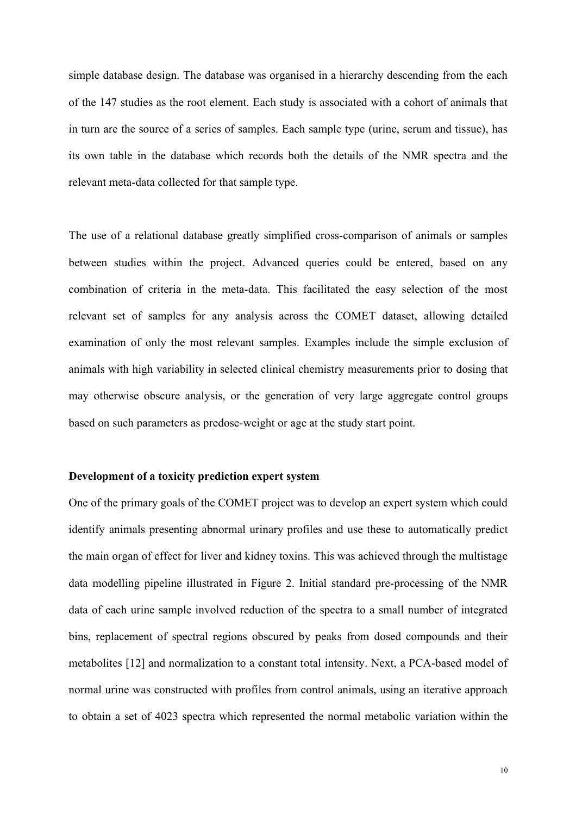simple database design. The database was organised in a hierarchy descending from the each of the 147 studies as the root element. Each study is associated with a cohort of animals that in turn are the source of a series of samples. Each sample type (urine, serum and tissue), has its own table in the database which records both the details of the NMR spectra and the relevant meta-data collected for that sample type.

The use of a relational database greatly simplified cross-comparison of animals or samples between studies within the project. Advanced queries could be entered, based on any combination of criteria in the meta-data. This facilitated the easy selection of the most relevant set of samples for any analysis across the COMET dataset, allowing detailed examination of only the most relevant samples. Examples include the simple exclusion of animals with high variability in selected clinical chemistry measurements prior to dosing that may otherwise obscure analysis, or the generation of very large aggregate control groups based on such parameters as predose-weight or age at the study start point.

#### **Development of a toxicity prediction expert system**

One of the primary goals of the COMET project was to develop an expert system which could identify animals presenting abnormal urinary profiles and use these to automatically predict the main organ of effect for liver and kidney toxins. This was achieved through the multistage data modelling pipeline illustrated in Figure 2. Initial standard pre-processing of the NMR data of each urine sample involved reduction of the spectra to a small number of integrated bins, replacement of spectral regions obscured by peaks from dosed compounds and their metabolites [12] and normalization to a constant total intensity. Next, a PCA-based model of normal urine was constructed with profiles from control animals, using an iterative approach to obtain a set of 4023 spectra which represented the normal metabolic variation within the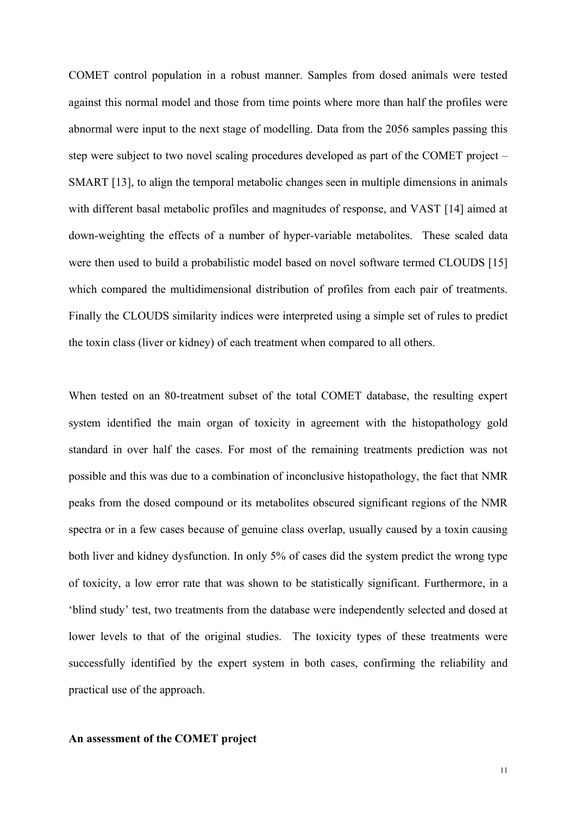COMET control population in a robust manner. Samples from dosed animals were tested against this normal model and those from time points where more than half the profiles were abnormal were input to the next stage of modelling. Data from the 2056 samples passing this step were subject to two novel scaling procedures developed as part of the COMET project – SMART [13], to align the temporal metabolic changes seen in multiple dimensions in animals with different basal metabolic profiles and magnitudes of response, and VAST [14] aimed at down-weighting the effects of a number of hyper-variable metabolites. These scaled data were then used to build a probabilistic model based on novel software termed CLOUDS [15] which compared the multidimensional distribution of profiles from each pair of treatments. Finally the CLOUDS similarity indices were interpreted using a simple set of rules to predict the toxin class (liver or kidney) of each treatment when compared to all others.

When tested on an 80-treatment subset of the total COMET database, the resulting expert system identified the main organ of toxicity in agreement with the histopathology gold standard in over half the cases. For most of the remaining treatments prediction was not possible and this was due to a combination of inconclusive histopathology, the fact that NMR peaks from the dosed compound or its metabolites obscured significant regions of the NMR spectra or in a few cases because of genuine class overlap, usually caused by a toxin causing both liver and kidney dysfunction. In only 5% of cases did the system predict the wrong type of toxicity, a low error rate that was shown to be statistically significant. Furthermore, in a 'blind study' test, two treatments from the database were independently selected and dosed at lower levels to that of the original studies. The toxicity types of these treatments were successfully identified by the expert system in both cases, confirming the reliability and practical use of the approach.

# **An assessment of the COMET project**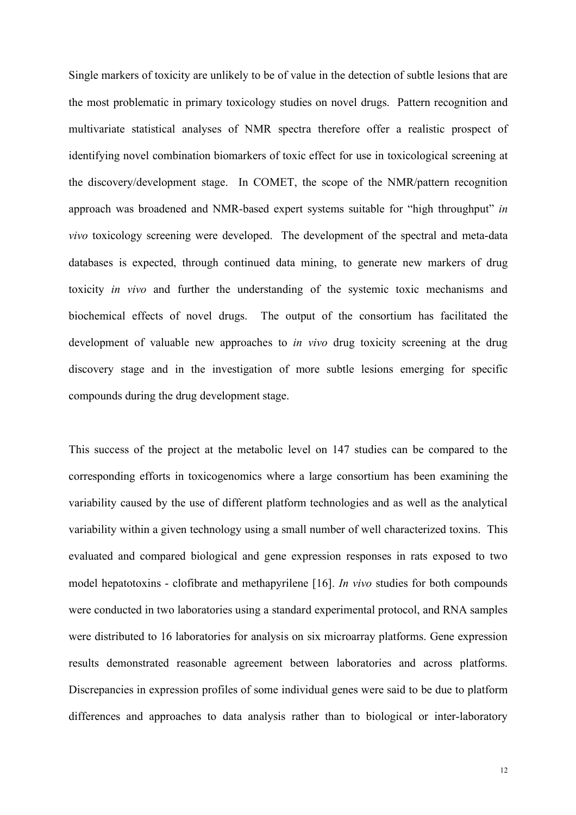Single markers of toxicity are unlikely to be of value in the detection of subtle lesions that are the most problematic in primary toxicology studies on novel drugs. Pattern recognition and multivariate statistical analyses of NMR spectra therefore offer a realistic prospect of identifying novel combination biomarkers of toxic effect for use in toxicological screening at the discovery/development stage. In COMET, the scope of the NMR/pattern recognition approach was broadened and NMR-based expert systems suitable for "high throughput" *in vivo* toxicology screening were developed. The development of the spectral and meta-data databases is expected, through continued data mining, to generate new markers of drug toxicity *in vivo* and further the understanding of the systemic toxic mechanisms and biochemical effects of novel drugs. The output of the consortium has facilitated the development of valuable new approaches to *in vivo* drug toxicity screening at the drug discovery stage and in the investigation of more subtle lesions emerging for specific compounds during the drug development stage.

This success of the project at the metabolic level on 147 studies can be compared to the corresponding efforts in toxicogenomics where a large consortium has been examining the variability caused by the use of different platform technologies and as well as the analytical variability within a given technology using a small number of well characterized toxins. This evaluated and compared biological and gene expression responses in rats exposed to two model hepatotoxins - clofibrate and methapyrilene [16]. *In vivo* studies for both compounds were conducted in two laboratories using a standard experimental protocol, and RNA samples were distributed to 16 laboratories for analysis on six microarray platforms. Gene expression results demonstrated reasonable agreement between laboratories and across platforms. Discrepancies in expression profiles of some individual genes were said to be due to platform differences and approaches to data analysis rather than to biological or inter-laboratory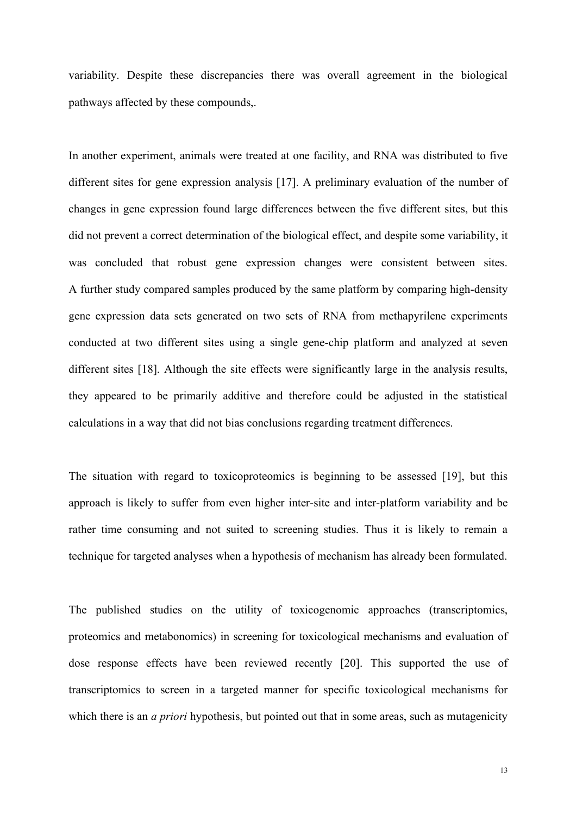variability. Despite these discrepancies there was overall agreement in the biological pathways affected by these compounds,.

In another experiment, animals were treated at one facility, and RNA was distributed to five different sites for gene expression analysis [17]. A preliminary evaluation of the number of changes in gene expression found large differences between the five different sites, but this did not prevent a correct determination of the biological effect, and despite some variability, it was concluded that robust gene expression changes were consistent between sites. A further study compared samples produced by the same platform by comparing high-density gene expression data sets generated on two sets of RNA from methapyrilene experiments conducted at two different sites using a single gene-chip platform and analyzed at seven different sites [18]. Although the site effects were significantly large in the analysis results, they appeared to be primarily additive and therefore could be adjusted in the statistical calculations in a way that did not bias conclusions regarding treatment differences.

The situation with regard to toxicoproteomics is beginning to be assessed [19], but this approach is likely to suffer from even higher inter-site and inter-platform variability and be rather time consuming and not suited to screening studies. Thus it is likely to remain a technique for targeted analyses when a hypothesis of mechanism has already been formulated.

The published studies on the utility of toxicogenomic approaches (transcriptomics, proteomics and metabonomics) in screening for toxicological mechanisms and evaluation of dose response effects have been reviewed recently [20]. This supported the use of transcriptomics to screen in a targeted manner for specific toxicological mechanisms for which there is an *a priori* hypothesis, but pointed out that in some areas, such as mutagenicity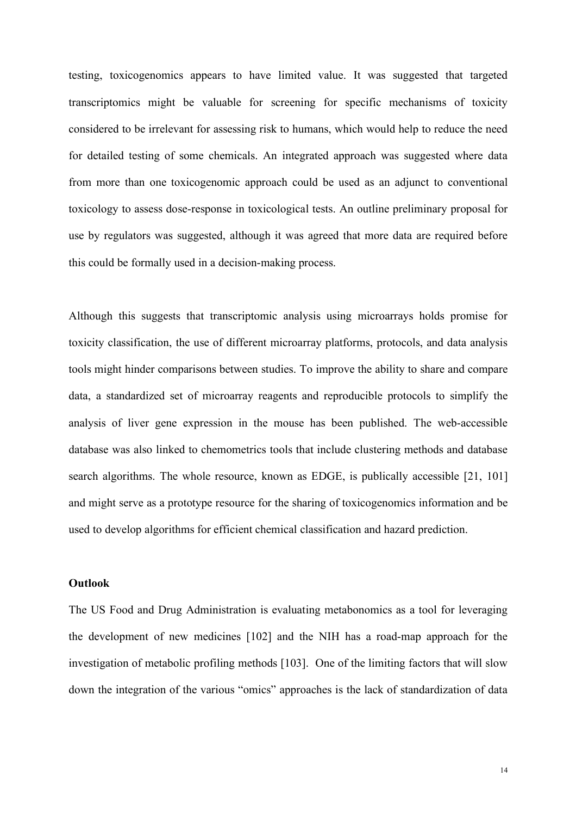testing, toxicogenomics appears to have limited value. It was suggested that targeted transcriptomics might be valuable for screening for specific mechanisms of toxicity considered to be irrelevant for assessing risk to humans, which would help to reduce the need for detailed testing of some chemicals. An integrated approach was suggested where data from more than one toxicogenomic approach could be used as an adjunct to conventional toxicology to assess dose-response in toxicological tests. An outline preliminary proposal for use by regulators was suggested, although it was agreed that more data are required before this could be formally used in a decision-making process.

Although this suggests that transcriptomic analysis using microarrays holds promise for toxicity classification, the use of different microarray platforms, protocols, and data analysis tools might hinder comparisons between studies. To improve the ability to share and compare data, a standardized set of microarray reagents and reproducible protocols to simplify the analysis of liver gene expression in the mouse has been published. The web-accessible database was also linked to chemometrics tools that include clustering methods and database search algorithms. The whole resource, known as EDGE, is publically accessible [21, 101] and might serve as a prototype resource for the sharing of toxicogenomics information and be used to develop algorithms for efficient chemical classification and hazard prediction.

#### **Outlook**

The US Food and Drug Administration is evaluating metabonomics as a tool for leveraging the development of new medicines [102] and the NIH has a road-map approach for the investigation of metabolic profiling methods [103]. One of the limiting factors that will slow down the integration of the various "omics" approaches is the lack of standardization of data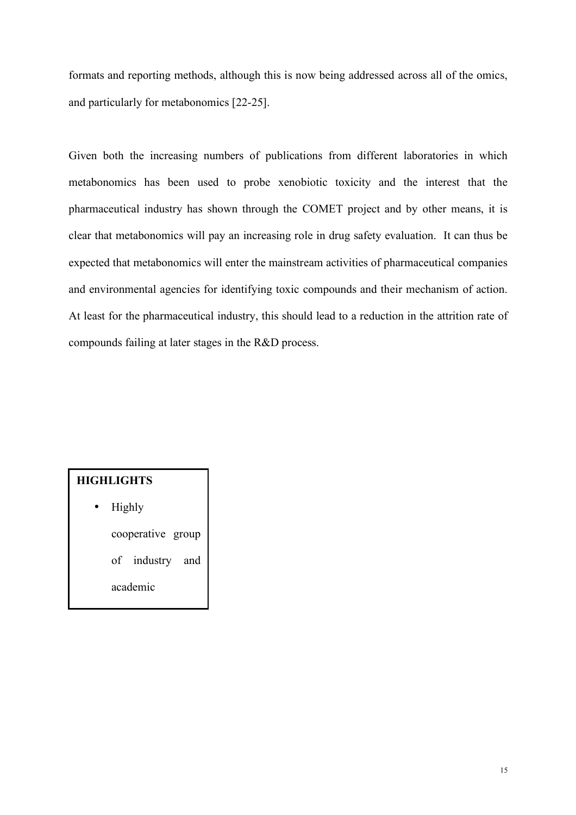formats and reporting methods, although this is now being addressed across all of the omics, and particularly for metabonomics [22-25].

Given both the increasing numbers of publications from different laboratories in which metabonomics has been used to probe xenobiotic toxicity and the interest that the pharmaceutical industry has shown through the COMET project and by other means, it is clear that metabonomics will pay an increasing role in drug safety evaluation. It can thus be expected that metabonomics will enter the mainstream activities of pharmaceutical companies and environmental agencies for identifying toxic compounds and their mechanism of action. At least for the pharmaceutical industry, this should lead to a reduction in the attrition rate of compounds failing at later stages in the R&D process.

# **HIGHLIGHTS**

• Highly

cooperative group

of industry and

scientists working

academic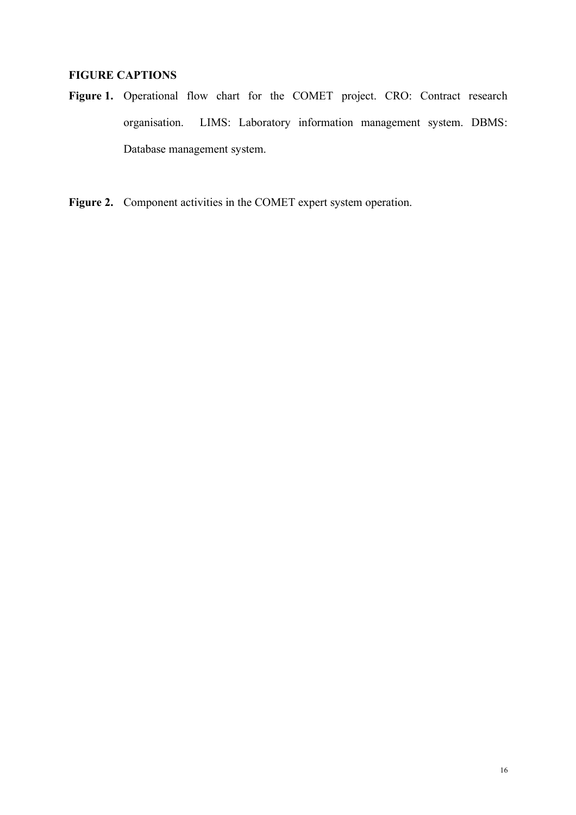# **FIGURE CAPTIONS**

- **Figure 1.** Operational flow chart for the COMET project. CRO: Contract research organisation. LIMS: Laboratory information management system. DBMS: Database management system.
- **Figure 2.** Component activities in the COMET expert system operation.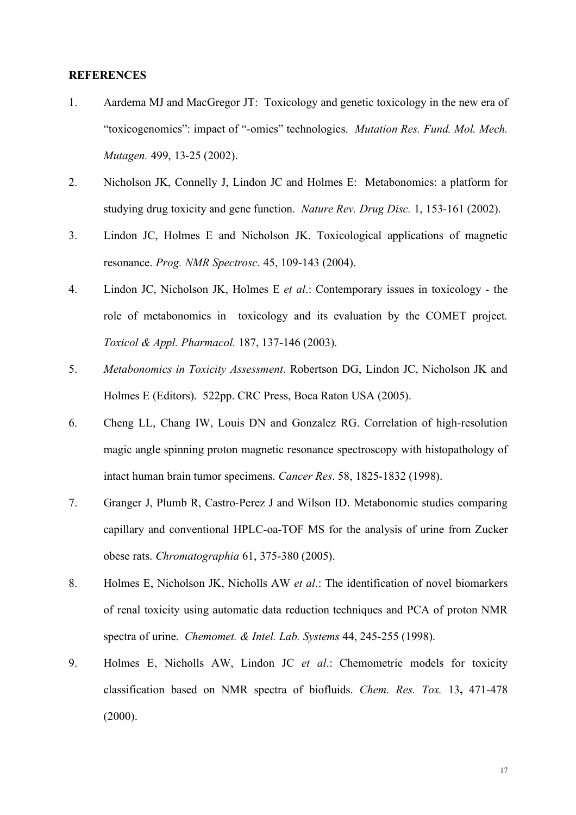# **REFERENCES**

- 1. Aardema MJ and MacGregor JT: Toxicology and genetic toxicology in the new era of "toxicogenomics": impact of "-omics" technologies. *Mutation Res. Fund. Mol. Mech. Mutagen.* 499, 13-25 (2002).
- 2. Nicholson JK, Connelly J, Lindon JC and Holmes E: Metabonomics: a platform for studying drug toxicity and gene function. *Nature Rev. Drug Disc.* 1, 153-161 (2002).
- 3. Lindon JC, Holmes E and Nicholson JK. Toxicological applications of magnetic resonance. *Prog. NMR Spectrosc*. 45, 109-143 (2004).
- 4. Lindon JC, Nicholson JK, Holmes E *et al*.: Contemporary issues in toxicology the role of metabonomics in toxicology and its evaluation by the COMET project*. Toxicol & Appl. Pharmacol.* 187, 137-146 (2003).
- 5. *Metabonomics in Toxicity Assessment*. Robertson DG, Lindon JC, Nicholson JK and Holmes E (Editors). 522pp. CRC Press, Boca Raton USA (2005).
- 6. Cheng LL, Chang IW, Louis DN and Gonzalez RG. Correlation of high-resolution magic angle spinning proton magnetic resonance spectroscopy with histopathology of intact human brain tumor specimens. *Cancer Res*. 58, 1825-1832 (1998).
- 7. Granger J, Plumb R, Castro-Perez J and Wilson ID. Metabonomic studies comparing capillary and conventional HPLC-oa-TOF MS for the analysis of urine from Zucker obese rats. *Chromatographia* 61, 375-380 (2005).
- 8. Holmes E, Nicholson JK, Nicholls AW *et al*.: The identification of novel biomarkers of renal toxicity using automatic data reduction techniques and PCA of proton NMR spectra of urine. *Chemomet. & Intel. Lab. Systems* 44, 245-255 (1998).
- 9. Holmes E, Nicholls AW, Lindon JC *et al*.: Chemometric models for toxicity classification based on NMR spectra of biofluids. *Chem. Res. Tox.* 13**,** 471-478  $(2000)$ .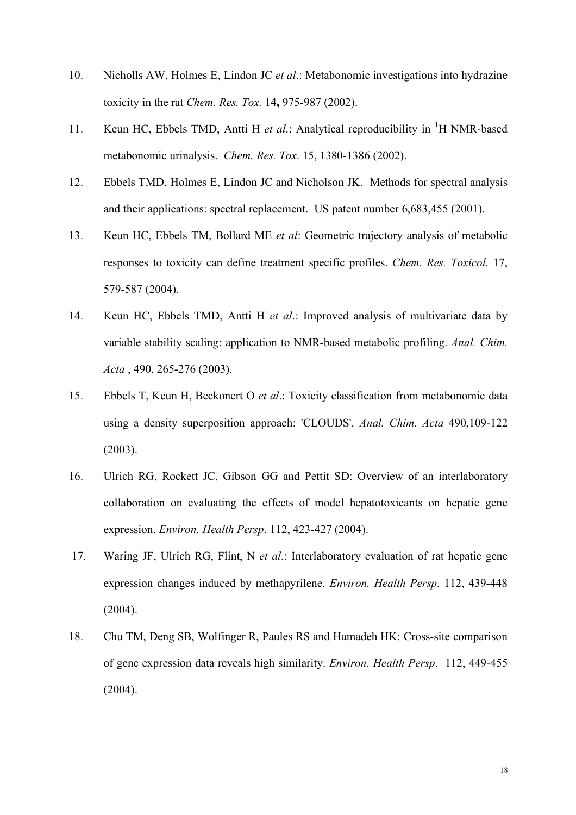- 10. Nicholls AW, Holmes E, Lindon JC *et al*.: Metabonomic investigations into hydrazine toxicity in the rat *Chem. Res. Tox.* 14**,** 975-987 (2002).
- 11. Keun HC, Ebbels TMD, Antti H et al.: Analytical reproducibility in <sup>1</sup>H NMR-based metabonomic urinalysis. *Chem. Res. Tox*. 15, 1380-1386 (2002).
- 12. Ebbels TMD, Holmes E, Lindon JC and Nicholson JK. Methods for spectral analysis and their applications: spectral replacement. US patent number 6,683,455 (2001).
- 13. Keun HC, Ebbels TM, Bollard ME *et al*: Geometric trajectory analysis of metabolic responses to toxicity can define treatment specific profiles. *Chem. Res. Toxicol.* 17, 579-587 (2004).
- 14. Keun HC, Ebbels TMD, Antti H *et al*.: Improved analysis of multivariate data by variable stability scaling: application to NMR-based metabolic profiling. *Anal. Chim. Acta* , 490, 265-276 (2003).
- 15. Ebbels T, Keun H, Beckonert O *et al*.: Toxicity classification from metabonomic data using a density superposition approach: 'CLOUDS'. *Anal. Chim. Acta* 490,109-122 (2003).
- 16. Ulrich RG, Rockett JC, Gibson GG and Pettit SD: Overview of an interlaboratory collaboration on evaluating the effects of model hepatotoxicants on hepatic gene expression. *Environ. Health Persp*. 112, 423-427 (2004).
- 17. Waring JF, Ulrich RG, Flint, N *et al*.: Interlaboratory evaluation of rat hepatic gene expression changes induced by methapyrilene. *Environ. Health Persp*. 112, 439-448  $(2004).$
- 18. Chu TM, Deng SB, Wolfinger R, Paules RS and Hamadeh HK: Cross-site comparison of gene expression data reveals high similarity. *Environ. Health Persp*. 112, 449-455  $(2004)$ .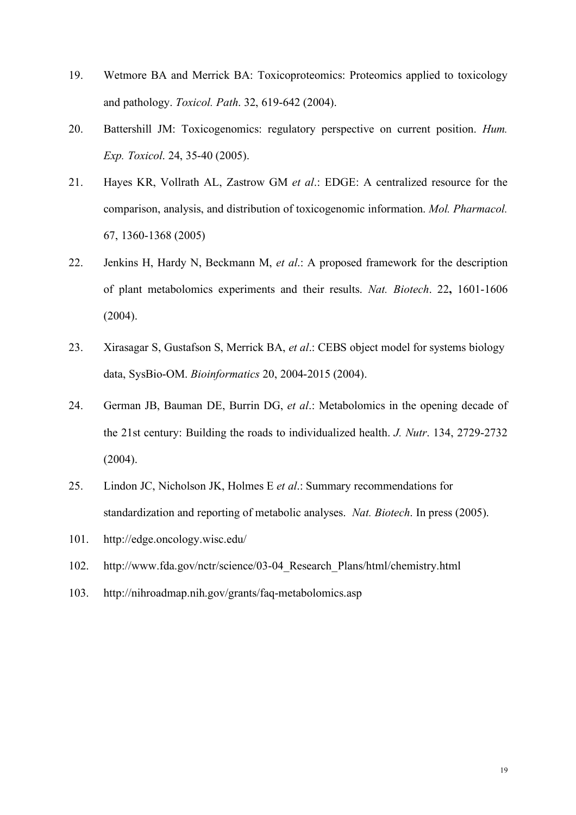- 19. Wetmore BA and Merrick BA: Toxicoproteomics: Proteomics applied to toxicology and pathology. *Toxicol. Path*. 32, 619-642 (2004).
- 20. Battershill JM: Toxicogenomics: regulatory perspective on current position. *Hum. Exp. Toxicol*. 24, 35-40 (2005).
- 21. Hayes KR, Vollrath AL, Zastrow GM *et al*.: EDGE: A centralized resource for the comparison, analysis, and distribution of toxicogenomic information. *Mol. Pharmacol.* 67, 1360-1368 (2005)
- 22. Jenkins H, Hardy N, Beckmann M, *et al*.: A proposed framework for the description of plant metabolomics experiments and their results. *Nat. Biotech*. 22**,** 1601-1606 (2004).
- 23. Xirasagar S, Gustafson S, Merrick BA, *et al*.: CEBS object model for systems biology data, SysBio-OM. *Bioinformatics* 20, 2004-2015 (2004).
- 24. German JB, Bauman DE, Burrin DG, *et al*.: Metabolomics in the opening decade of the 21st century: Building the roads to individualized health. *J. Nutr*. 134, 2729-2732 (2004).
- 25. Lindon JC, Nicholson JK, Holmes E *et al*.: Summary recommendations for standardization and reporting of metabolic analyses. *Nat. Biotech*. In press (2005).
- 101. http://edge.oncology.wisc.edu/
- 102. http://www.fda.gov/nctr/science/03-04\_Research\_Plans/html/chemistry.html
- 103. http://nihroadmap.nih.gov/grants/faq-metabolomics.asp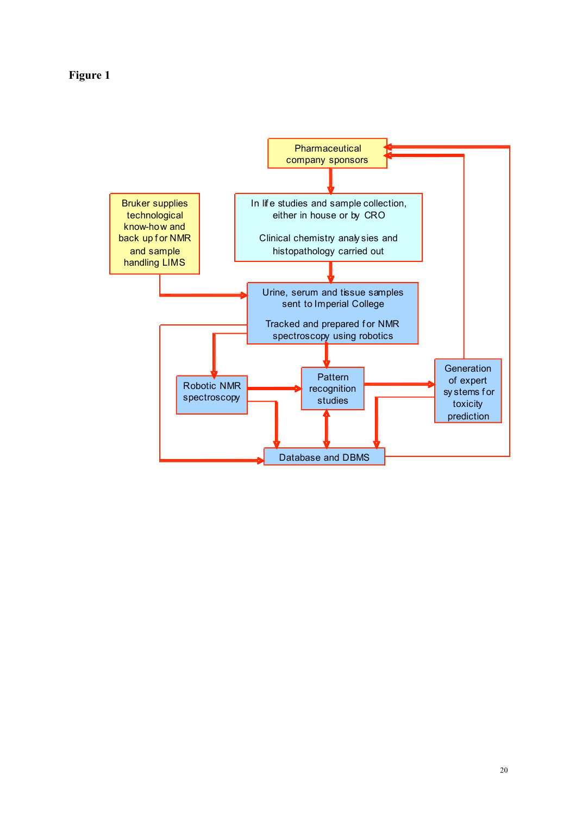**Figure 1**